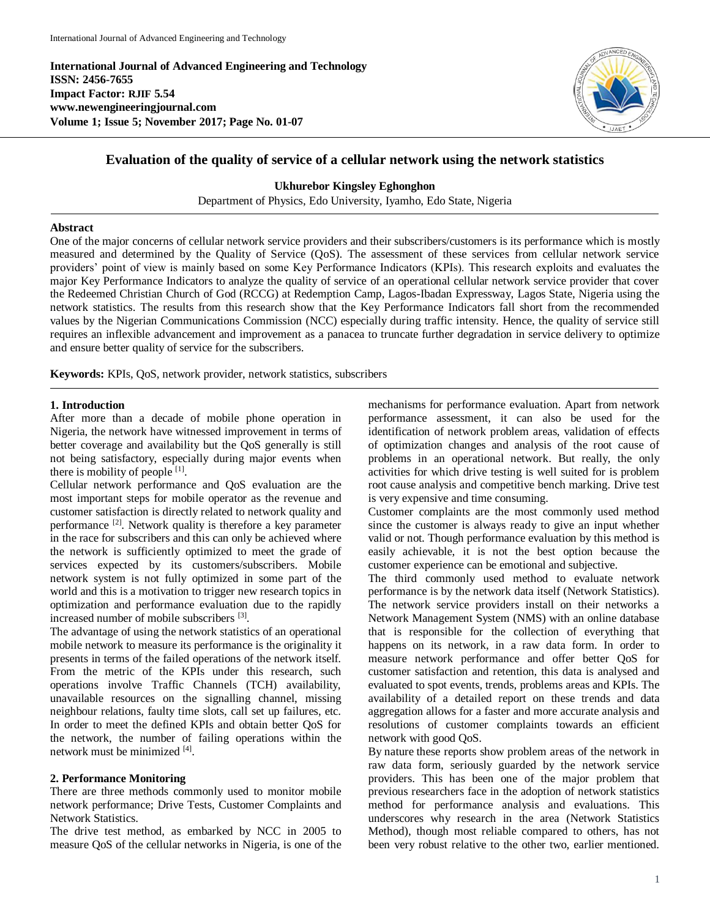**International Journal of Advanced Engineering and Technology ISSN: 2456-7655 Impact Factor: RJIF 5.54 www.newengineeringjournal.com Volume 1; Issue 5; November 2017; Page No. 01-07**



# **Evaluation of the quality of service of a cellular network using the network statistics**

**Ukhurebor Kingsley Eghonghon** Department of Physics, Edo University, Iyamho, Edo State, Nigeria

# **Abstract**

One of the major concerns of cellular network service providers and their subscribers/customers is its performance which is mostly measured and determined by the Quality of Service (QoS). The assessment of these services from cellular network service providers' point of view is mainly based on some Key Performance Indicators (KPIs). This research exploits and evaluates the major Key Performance Indicators to analyze the quality of service of an operational cellular network service provider that cover the Redeemed Christian Church of God (RCCG) at Redemption Camp, Lagos-Ibadan Expressway, Lagos State, Nigeria using the network statistics. The results from this research show that the Key Performance Indicators fall short from the recommended values by the Nigerian Communications Commission (NCC) especially during traffic intensity. Hence, the quality of service still requires an inflexible advancement and improvement as a panacea to truncate further degradation in service delivery to optimize and ensure better quality of service for the subscribers.

**Keywords:** KPIs, QoS, network provider, network statistics, subscribers

### **1. Introduction**

After more than a decade of mobile phone operation in Nigeria, the network have witnessed improvement in terms of better coverage and availability but the QoS generally is still not being satisfactory, especially during major events when there is mobility of people  $[1]$ .

Cellular network performance and QoS evaluation are the most important steps for mobile operator as the revenue and customer satisfaction is directly related to network quality and performance [2]. Network quality is therefore a key parameter in the race for subscribers and this can only be achieved where the network is sufficiently optimized to meet the grade of services expected by its customers/subscribers. Mobile network system is not fully optimized in some part of the world and this is a motivation to trigger new research topics in optimization and performance evaluation due to the rapidly increased number of mobile subscribers [3] .

The advantage of using the network statistics of an operational mobile network to measure its performance is the originality it presents in terms of the failed operations of the network itself. From the metric of the KPIs under this research, such operations involve Traffic Channels (TCH) availability, unavailable resources on the signalling channel, missing neighbour relations, faulty time slots, call set up failures, etc. In order to meet the defined KPIs and obtain better QoS for the network, the number of failing operations within the network must be minimized [4] .

# **2. Performance Monitoring**

There are three methods commonly used to monitor mobile network performance; Drive Tests, Customer Complaints and Network Statistics.

The drive test method, as embarked by NCC in 2005 to measure QoS of the cellular networks in Nigeria, is one of the

mechanisms for performance evaluation. Apart from network performance assessment, it can also be used for the identification of network problem areas, validation of effects of optimization changes and analysis of the root cause of problems in an operational network. But really, the only activities for which drive testing is well suited for is problem root cause analysis and competitive bench marking. Drive test is very expensive and time consuming.

Customer complaints are the most commonly used method since the customer is always ready to give an input whether valid or not. Though performance evaluation by this method is easily achievable, it is not the best option because the customer experience can be emotional and subjective.

The third commonly used method to evaluate network performance is by the network data itself (Network Statistics). The network service providers install on their networks a Network Management System (NMS) with an online database that is responsible for the collection of everything that happens on its network, in a raw data form. In order to measure network performance and offer better QoS for customer satisfaction and retention, this data is analysed and evaluated to spot events, trends, problems areas and KPIs. The availability of a detailed report on these trends and data aggregation allows for a faster and more accurate analysis and resolutions of customer complaints towards an efficient network with good QoS.

By nature these reports show problem areas of the network in raw data form, seriously guarded by the network service providers. This has been one of the major problem that previous researchers face in the adoption of network statistics method for performance analysis and evaluations. This underscores why research in the area (Network Statistics Method), though most reliable compared to others, has not been very robust relative to the other two, earlier mentioned.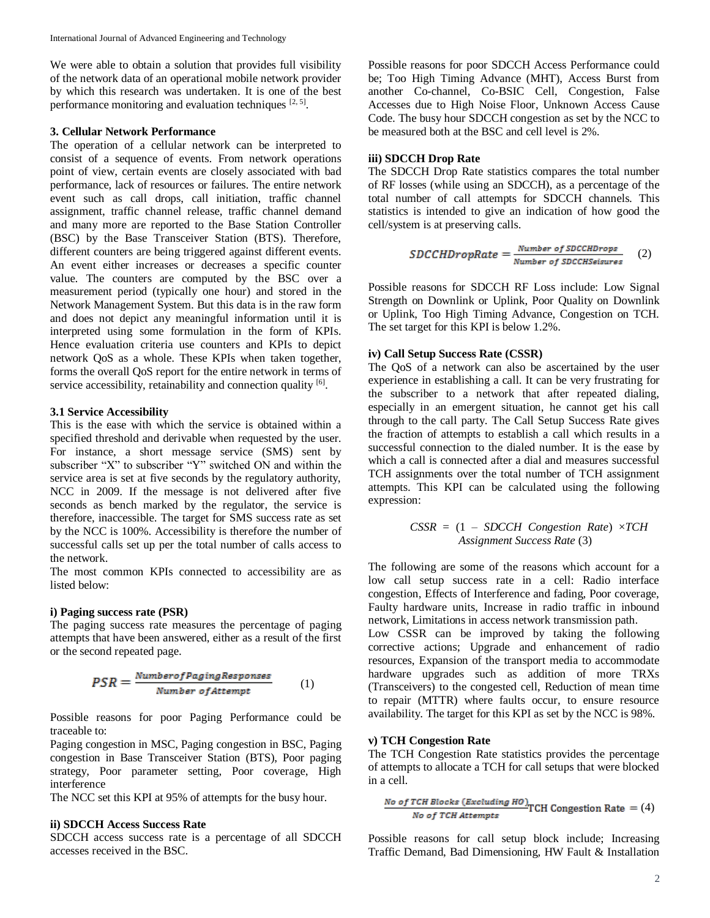We were able to obtain a solution that provides full visibility of the network data of an operational mobile network provider by which this research was undertaken. It is one of the best performance monitoring and evaluation techniques  $[2, 5]$ .

#### **3. Cellular Network Performance**

The operation of a cellular network can be interpreted to consist of a sequence of events. From network operations point of view, certain events are closely associated with bad performance, lack of resources or failures. The entire network event such as call drops, call initiation, traffic channel assignment, traffic channel release, traffic channel demand and many more are reported to the Base Station Controller (BSC) by the Base Transceiver Station (BTS). Therefore, different counters are being triggered against different events. An event either increases or decreases a specific counter value. The counters are computed by the BSC over a measurement period (typically one hour) and stored in the Network Management System. But this data is in the raw form and does not depict any meaningful information until it is interpreted using some formulation in the form of KPIs. Hence evaluation criteria use counters and KPIs to depict network QoS as a whole. These KPIs when taken together, forms the overall QoS report for the entire network in terms of service accessibility, retainability and connection quality [6].

# **3.1 Service Accessibility**

This is the ease with which the service is obtained within a specified threshold and derivable when requested by the user. For instance, a short message service (SMS) sent by subscriber "X" to subscriber "Y" switched ON and within the service area is set at five seconds by the regulatory authority, NCC in 2009. If the message is not delivered after five seconds as bench marked by the regulator, the service is therefore, inaccessible. The target for SMS success rate as set by the NCC is 100%. Accessibility is therefore the number of successful calls set up per the total number of calls access to the network.

The most common KPIs connected to accessibility are as listed below:

### **i) Paging success rate (PSR)**

The paging success rate measures the percentage of paging attempts that have been answered, either as a result of the first or the second repeated page.

$$
PSR = \frac{Number of Pagings Responses}{Number of Attempt}
$$
 (1)

Possible reasons for poor Paging Performance could be traceable to:

Paging congestion in MSC, Paging congestion in BSC, Paging congestion in Base Transceiver Station (BTS), Poor paging strategy, Poor parameter setting, Poor coverage, High interference

The NCC set this KPI at 95% of attempts for the busy hour.

## **ii) SDCCH Access Success Rate**

SDCCH access success rate is a percentage of all SDCCH accesses received in the BSC.

Possible reasons for poor SDCCH Access Performance could be; Too High Timing Advance (MHT), Access Burst from another Co-channel, Co-BSIC Cell, Congestion, False Accesses due to High Noise Floor, Unknown Access Cause Code. The busy hour SDCCH congestion as set by the NCC to be measured both at the BSC and cell level is 2%.

# **iii) SDCCH Drop Rate**

The SDCCH Drop Rate statistics compares the total number of RF losses (while using an SDCCH), as a percentage of the total number of call attempts for SDCCH channels. This statistics is intended to give an indication of how good the cell/system is at preserving calls.

$$
SDCCHDropRate = \frac{Number\ of\ SDCCHDrops}{Number\ of\ SDCCHSeisures}
$$
 (2)

Possible reasons for SDCCH RF Loss include: Low Signal Strength on Downlink or Uplink, Poor Quality on Downlink or Uplink, Too High Timing Advance, Congestion on TCH. The set target for this KPI is below 1.2%.

# **iv) Call Setup Success Rate (CSSR)**

The QoS of a network can also be ascertained by the user experience in establishing a call. It can be very frustrating for the subscriber to a network that after repeated dialing, especially in an emergent situation, he cannot get his call through to the call party. The Call Setup Success Rate gives the fraction of attempts to establish a call which results in a successful connection to the dialed number. It is the ease by which a call is connected after a dial and measures successful TCH assignments over the total number of TCH assignment attempts. This KPI can be calculated using the following expression:

$$
CSSR = (1 - SDCCH \text{ Congestion Rate}) \times TCH
$$
  
\n**Assignment Success Rate (3)**

The following are some of the reasons which account for a low call setup success rate in a cell: Radio interface congestion, Effects of Interference and fading, Poor coverage, Faulty hardware units, Increase in radio traffic in inbound network, Limitations in access network transmission path.

Low CSSR can be improved by taking the following corrective actions; Upgrade and enhancement of radio resources, Expansion of the transport media to accommodate hardware upgrades such as addition of more TRXs (Transceivers) to the congested cell, Reduction of mean time to repair (MTTR) where faults occur, to ensure resource availability. The target for this KPI as set by the NCC is 98%.

# **v) TCH Congestion Rate**

The TCH Congestion Rate statistics provides the percentage of attempts to allocate a TCH for call setups that were blocked in a cell.

(4)

Possible reasons for call setup block include; Increasing Traffic Demand, Bad Dimensioning, HW Fault & Installation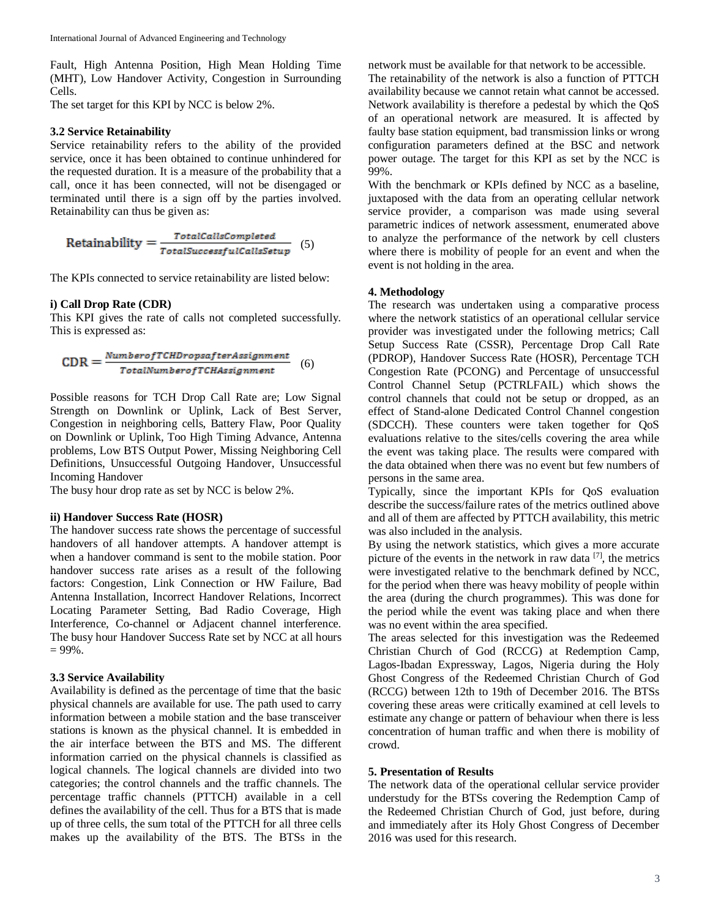Fault, High Antenna Position, High Mean Holding Time (MHT), Low Handover Activity, Congestion in Surrounding Cells.

The set target for this KPI by NCC is below 2%.

#### **3.2 Service Retainability**

Service retainability refers to the ability of the provided service, once it has been obtained to continue unhindered for the requested duration. It is a measure of the probability that a call, once it has been connected, will not be disengaged or terminated until there is a sign off by the parties involved. Retainability can thus be given as:

$$
Retainability = \frac{TotalCallsComplete}{Total SuccessfulCallsSetup} \quad (5)
$$

The KPIs connected to service retainability are listed below:

#### **i) Call Drop Rate (CDR)**

This KPI gives the rate of calls not completed successfully. This is expressed as:

$$
CDR = \frac{Number of TCHDrops after Assignment}{TotalNumber of TCHAssignment}
$$
 (6)

Possible reasons for TCH Drop Call Rate are; Low Signal Strength on Downlink or Uplink, Lack of Best Server, Congestion in neighboring cells, Battery Flaw, Poor Quality on Downlink or Uplink, Too High Timing Advance, Antenna problems, Low BTS Output Power, Missing Neighboring Cell Definitions, Unsuccessful Outgoing Handover, Unsuccessful Incoming Handover

The busy hour drop rate as set by NCC is below 2%.

#### **ii) Handover Success Rate (HOSR)**

The handover success rate shows the percentage of successful handovers of all handover attempts. A handover attempt is when a handover command is sent to the mobile station. Poor handover success rate arises as a result of the following factors: Congestion, Link Connection or HW Failure, Bad Antenna Installation, Incorrect Handover Relations, Incorrect Locating Parameter Setting, Bad Radio Coverage, High Interference, Co-channel or Adjacent channel interference. The busy hour Handover Success Rate set by NCC at all hours  $= 99\%$ .

#### **3.3 Service Availability**

Availability is defined as the percentage of time that the basic physical channels are available for use. The path used to carry information between a mobile station and the base transceiver stations is known as the physical channel. It is embedded in the air interface between the BTS and MS. The different information carried on the physical channels is classified as logical channels. The logical channels are divided into two categories; the control channels and the traffic channels. The percentage traffic channels (PTTCH) available in a cell defines the availability of the cell. Thus for a BTS that is made up of three cells, the sum total of the PTTCH for all three cells makes up the availability of the BTS. The BTSs in the

network must be available for that network to be accessible. The retainability of the network is also a function of PTTCH availability because we cannot retain what cannot be accessed. Network availability is therefore a pedestal by which the QoS of an operational network are measured. It is affected by faulty base station equipment, bad transmission links or wrong configuration parameters defined at the BSC and network power outage. The target for this KPI as set by the NCC is 99%.

With the benchmark or KPIs defined by NCC as a baseline, juxtaposed with the data from an operating cellular network service provider, a comparison was made using several parametric indices of network assessment, enumerated above to analyze the performance of the network by cell clusters where there is mobility of people for an event and when the event is not holding in the area.

# **4. Methodology**

The research was undertaken using a comparative process where the network statistics of an operational cellular service provider was investigated under the following metrics; Call Setup Success Rate (CSSR), Percentage Drop Call Rate (PDROP), Handover Success Rate (HOSR), Percentage TCH Congestion Rate (PCONG) and Percentage of unsuccessful Control Channel Setup (PCTRLFAIL) which shows the control channels that could not be setup or dropped, as an effect of Stand-alone Dedicated Control Channel congestion (SDCCH). These counters were taken together for QoS evaluations relative to the sites/cells covering the area while the event was taking place. The results were compared with the data obtained when there was no event but few numbers of persons in the same area.

Typically, since the important KPIs for QoS evaluation describe the success/failure rates of the metrics outlined above and all of them are affected by PTTCH availability, this metric was also included in the analysis.

By using the network statistics, which gives a more accurate picture of the events in the network in raw data  $[7]$ , the metrics were investigated relative to the benchmark defined by NCC, for the period when there was heavy mobility of people within the area (during the church programmes). This was done for the period while the event was taking place and when there was no event within the area specified.

The areas selected for this investigation was the Redeemed Christian Church of God (RCCG) at Redemption Camp, Lagos-Ibadan Expressway, Lagos, Nigeria during the Holy Ghost Congress of the Redeemed Christian Church of God (RCCG) between 12th to 19th of December 2016. The BTSs covering these areas were critically examined at cell levels to estimate any change or pattern of behaviour when there is less concentration of human traffic and when there is mobility of crowd.

# **5. Presentation of Results**

The network data of the operational cellular service provider understudy for the BTSs covering the Redemption Camp of the Redeemed Christian Church of God, just before, during and immediately after its Holy Ghost Congress of December 2016 was used for this research.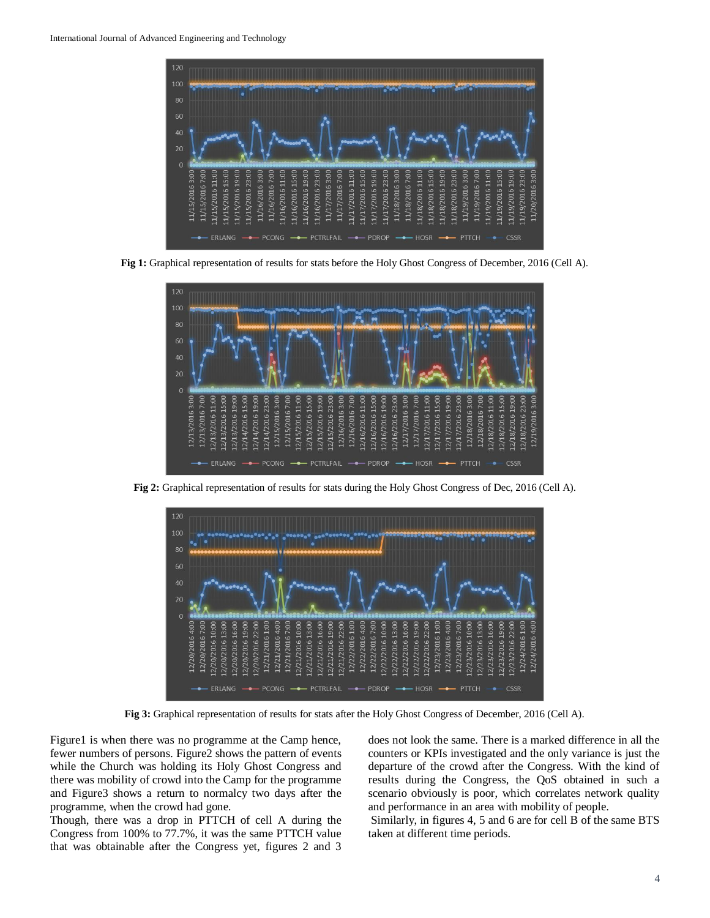

**Fig 1:** Graphical representation of results for stats before the Holy Ghost Congress of December, 2016 (Cell A).



**Fig 2:** Graphical representation of results for stats during the Holy Ghost Congress of Dec, 2016 (Cell A).



**Fig 3:** Graphical representation of results for stats after the Holy Ghost Congress of December, 2016 (Cell A).

Figure1 is when there was no programme at the Camp hence, fewer numbers of persons. Figure2 shows the pattern of events while the Church was holding its Holy Ghost Congress and there was mobility of crowd into the Camp for the programme and Figure3 shows a return to normalcy two days after the programme, when the crowd had gone.

Though, there was a drop in PTTCH of cell A during the Congress from 100% to 77.7%, it was the same PTTCH value that was obtainable after the Congress yet, figures 2 and 3

does not look the same. There is a marked difference in all the counters or KPIs investigated and the only variance is just the departure of the crowd after the Congress. With the kind of results during the Congress, the QoS obtained in such a scenario obviously is poor, which correlates network quality and performance in an area with mobility of people.

Similarly, in figures 4, 5 and 6 are for cell B of the same BTS taken at different time periods.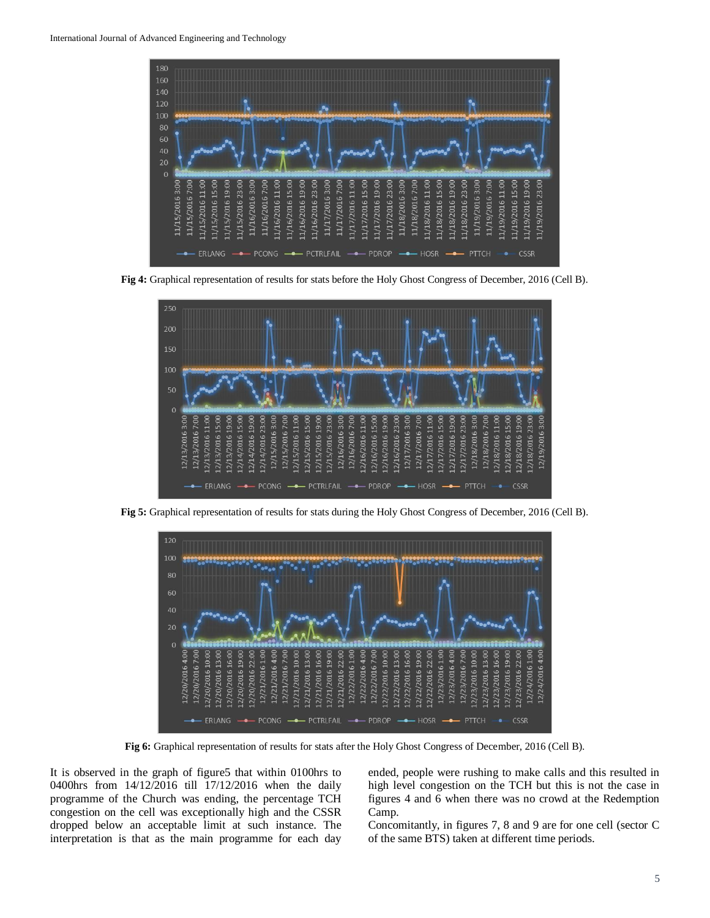

**Fig 4:** Graphical representation of results for stats before the Holy Ghost Congress of December, 2016 (Cell B).



**Fig 5:** Graphical representation of results for stats during the Holy Ghost Congress of December, 2016 (Cell B).



**Fig 6:** Graphical representation of results for stats after the Holy Ghost Congress of December, 2016 (Cell B).

It is observed in the graph of figure5 that within 0100hrs to 0400hrs from 14/12/2016 till 17/12/2016 when the daily programme of the Church was ending, the percentage TCH congestion on the cell was exceptionally high and the CSSR dropped below an acceptable limit at such instance. The interpretation is that as the main programme for each day

ended, people were rushing to make calls and this resulted in high level congestion on the TCH but this is not the case in figures 4 and 6 when there was no crowd at the Redemption Camp.

Concomitantly, in figures 7, 8 and 9 are for one cell (sector C of the same BTS) taken at different time periods.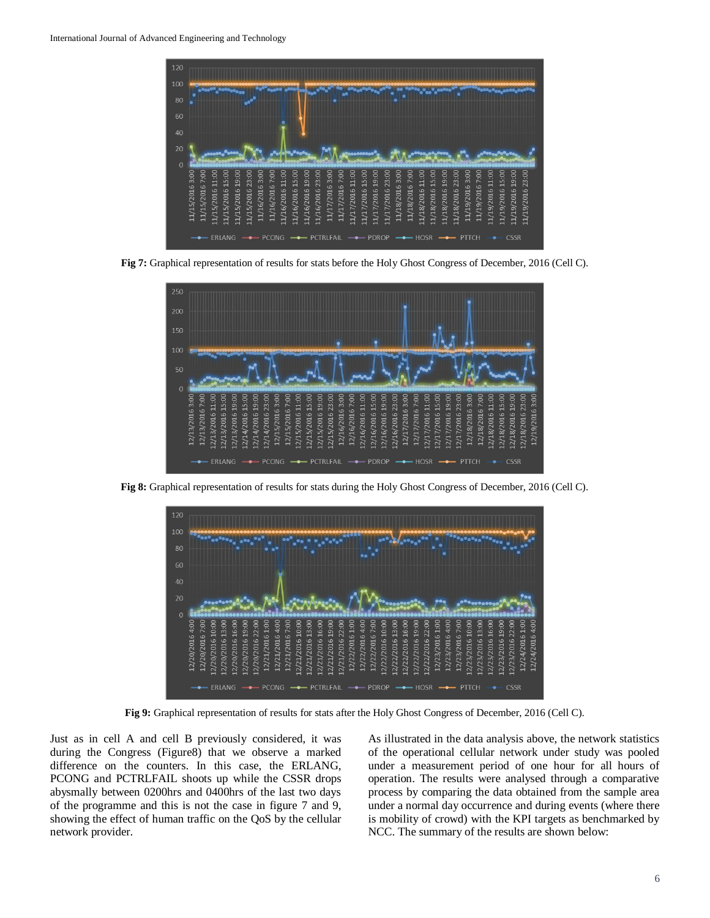

**Fig 7:** Graphical representation of results for stats before the Holy Ghost Congress of December, 2016 (Cell C).



**Fig 8:** Graphical representation of results for stats during the Holy Ghost Congress of December, 2016 (Cell C).



**Fig 9:** Graphical representation of results for stats after the Holy Ghost Congress of December, 2016 (Cell C).

Just as in cell A and cell B previously considered, it was during the Congress (Figure8) that we observe a marked difference on the counters. In this case, the ERLANG, PCONG and PCTRLFAIL shoots up while the CSSR drops abysmally between 0200hrs and 0400hrs of the last two days of the programme and this is not the case in figure 7 and 9, showing the effect of human traffic on the QoS by the cellular network provider.

As illustrated in the data analysis above, the network statistics of the operational cellular network under study was pooled under a measurement period of one hour for all hours of operation. The results were analysed through a comparative process by comparing the data obtained from the sample area under a normal day occurrence and during events (where there is mobility of crowd) with the KPI targets as benchmarked by NCC. The summary of the results are shown below: